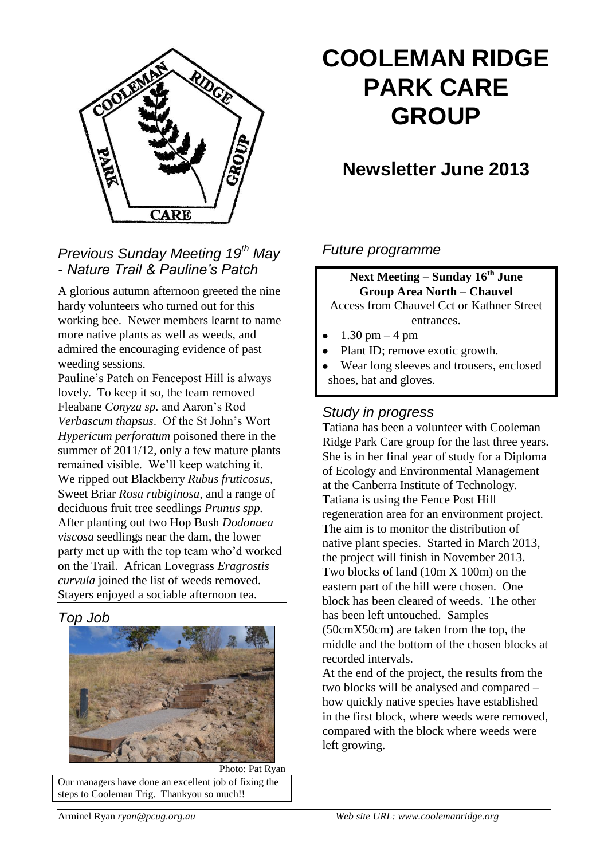

# **COOLEMAN RIDGE PARK CARE GROUP**

# **Newsletter June 2013**

### *Previous Sunday Meeting 19th May - Nature Trail & Pauline's Patch*

A glorious autumn afternoon greeted the nine hardy volunteers who turned out for this working bee. Newer members learnt to name more native plants as well as weeds, and admired the encouraging evidence of past weeding sessions.

Pauline's Patch on Fencepost Hill is always lovely. To keep it so, the team removed Fleabane *Conyza sp.* and Aaron's Rod *Verbascum thapsus*. Of the St John's Wort *Hypericum perforatum* poisoned there in the summer of 2011/12, only a few mature plants remained visible. We'll keep watching it. We ripped out Blackberry *Rubus fruticosus*, Sweet Briar *Rosa rubiginosa*, and a range of deciduous fruit tree seedlings *Prunus spp.* After planting out two Hop Bush *Dodonaea viscosa* seedlings near the dam, the lower party met up with the top team who'd worked on the Trail. African Lovegrass *Eragrostis curvula* joined the list of weeds removed. Stayers enjoyed a sociable afternoon tea.

### *Top Job*



Photo: Pat Ryan Our managers have done an excellent job of fixing the steps to Cooleman Trig. Thankyou so much!!

### *Future programme*

**Next Meeting – Sunday 16th June Group Area North – Chauvel** Access from Chauvel Cct or Kathner Street

entrances.

- 1.30 pm 4 pm
- Plant ID; remove exotic growth.  $\bullet$
- Wear long sleeves and trousers, enclosed shoes, hat and gloves.

### *Study in progress*

Tatiana has been a volunteer with Cooleman Ridge Park Care group for the last three years. She is in her final year of study for a Diploma of Ecology and Environmental Management at the Canberra Institute of Technology. Tatiana is using the Fence Post Hill regeneration area for an environment project. The aim is to monitor the distribution of native plant species. Started in March 2013, the project will finish in November 2013. Two blocks of land (10m X 100m) on the eastern part of the hill were chosen. One block has been cleared of weeds. The other has been left untouched. Samples (50cmX50cm) are taken from the top, the middle and the bottom of the chosen blocks at recorded intervals.

At the end of the project, the results from the two blocks will be analysed and compared – how quickly native species have established in the first block, where weeds were removed, compared with the block where weeds were left growing.